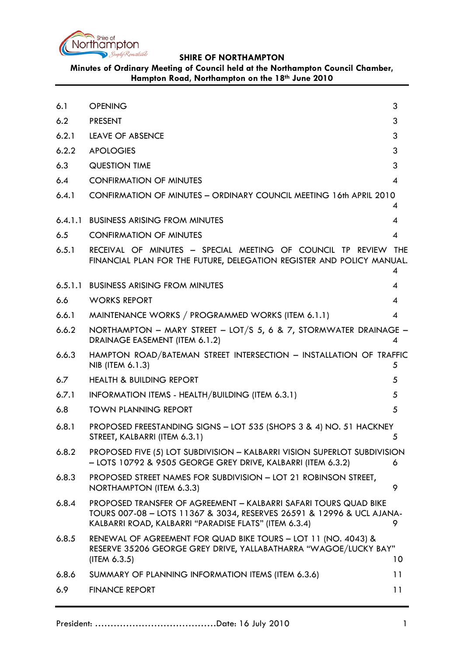

**Minutes of Ordinary Meeting of Council held at the Northampton Council Chamber, Hampton Road, Northampton on the 18th June 2010**

<span id="page-0-0"></span>

| 6.1   | <b>OPENING</b>                                                                                                                                                                                     | 3  |
|-------|----------------------------------------------------------------------------------------------------------------------------------------------------------------------------------------------------|----|
| 6.2   | <b>PRESENT</b>                                                                                                                                                                                     | 3  |
| 6.2.1 | LEAVE OF ABSENCE                                                                                                                                                                                   | 3  |
| 6.2.2 | <b>APOLOGIES</b>                                                                                                                                                                                   | 3  |
| 6.3   | <b>QUESTION TIME</b>                                                                                                                                                                               | 3  |
| 6.4   | <b>CONFIRMATION OF MINUTES</b>                                                                                                                                                                     | 4  |
| 6.4.1 | CONFIRMATION OF MINUTES - ORDINARY COUNCIL MEETING 16th APRIL 2010                                                                                                                                 | 4  |
|       | 6.4.1.1 BUSINESS ARISING FROM MINUTES                                                                                                                                                              | 4  |
| 6.5   | <b>CONFIRMATION OF MINUTES</b>                                                                                                                                                                     | 4  |
| 6.5.1 | RECEIVAL OF MINUTES - SPECIAL MEETING OF COUNCIL TP REVIEW THE<br>FINANCIAL PLAN FOR THE FUTURE, DELEGATION REGISTER AND POLICY MANUAL.                                                            | 4  |
|       | 6.5.1.1 BUSINESS ARISING FROM MINUTES                                                                                                                                                              | 4  |
| 6.6   | <b>WORKS REPORT</b>                                                                                                                                                                                | 4  |
| 6.6.1 | MAINTENANCE WORKS / PROGRAMMED WORKS (ITEM 6.1.1)                                                                                                                                                  | 4  |
| 6.6.2 | NORTHAMPTON - MARY STREET - LOT/S 5, 6 & 7, STORMWATER DRAINAGE -<br>DRAINAGE EASEMENT (ITEM 6.1.2)                                                                                                | 4  |
| 6.6.3 | HAMPTON ROAD/BATEMAN STREET INTERSECTION - INSTALLATION OF TRAFFIC<br>NIB (ITEM 6.1.3)                                                                                                             | 5  |
| 6.7   | <b>HEALTH &amp; BUILDING REPORT</b>                                                                                                                                                                | 5  |
| 6.7.1 | INFORMATION ITEMS - HEALTH/BUILDING (ITEM 6.3.1)                                                                                                                                                   | 5  |
| 6.8   | <b>TOWN PLANNING REPORT</b>                                                                                                                                                                        | 5  |
| 6.8.1 | PROPOSED FREESTANDING SIGNS - LOT 535 (SHOPS 3 & 4) NO. 51 HACKNEY<br>STREET, KALBARRI (ITEM 6.3.1)                                                                                                | 5  |
| 6.8.2 | PROPOSED FIVE (5) LOT SUBDIVISION - KALBARRI VISION SUPERLOT SUBDIVISION<br>- LOTS 10792 & 9505 GEORGE GREY DRIVE, KALBARRI (ITEM 6.3.2)                                                           | 6  |
| 6.8.3 | PROPOSED STREET NAMES FOR SUBDIVISION - LOT 21 ROBINSON STREET,<br>NORTHAMPTON (ITEM 6.3.3)                                                                                                        | 9  |
| 6.8.4 | PROPOSED TRANSFER OF AGREEMENT - KALBARRI SAFARI TOURS QUAD BIKE<br>TOURS 007-08 - LOTS 11367 & 3034, RESERVES 26591 & 12996 & UCL AJANA-<br>KALBARRI ROAD, KALBARRI "PARADISE FLATS" (ITEM 6.3.4) | 9. |
| 6.8.5 | RENEWAL OF AGREEMENT FOR QUAD BIKE TOURS - LOT 11 (NO. 4043) &<br>RESERVE 35206 GEORGE GREY DRIVE, YALLABATHARRA "WAGOE/LUCKY BAY"<br>(IFEM 6.3.5)                                                 | 10 |
| 6.8.6 | SUMMARY OF PLANNING INFORMATION ITEMS (ITEM 6.3.6)                                                                                                                                                 | 11 |
| 6.9   | <b>FINANCE REPORT</b>                                                                                                                                                                              | 11 |
|       |                                                                                                                                                                                                    |    |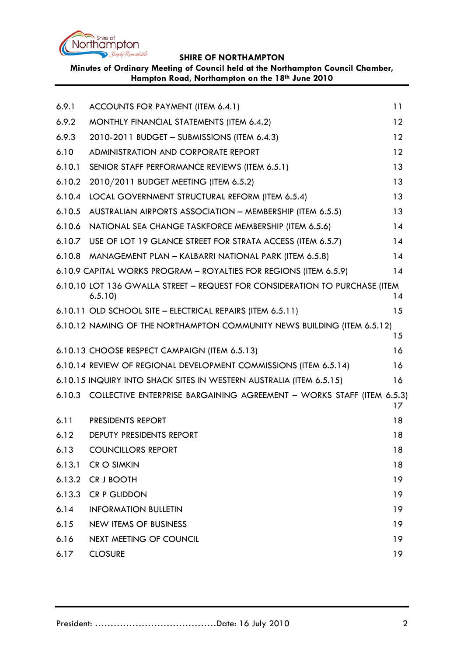

**Minutes of Ordinary Meeting of Council held at the Northampton Council Chamber, Hampton Road, Northampton on the 18th June 2010**

| 6.9.1  | ACCOUNTS FOR PAYMENT (ITEM 6.4.1)                                                     | 11 |
|--------|---------------------------------------------------------------------------------------|----|
| 6.9.2  | MONTHLY FINANCIAL STATEMENTS (ITEM 6.4.2)                                             | 12 |
| 6.9.3  | 2010-2011 BUDGET - SUBMISSIONS (ITEM 6.4.3)                                           | 12 |
| 6.10   | ADMINISTRATION AND CORPORATE REPORT                                                   | 12 |
| 6.10.1 | SENIOR STAFF PERFORMANCE REVIEWS (ITEM 6.5.1)                                         | 13 |
| 6.10.2 | 2010/2011 BUDGET MEETING (ITEM 6.5.2)                                                 | 13 |
| 6.10.4 | LOCAL GOVERNMENT STRUCTURAL REFORM (ITEM 6.5.4)                                       | 13 |
| 6.10.5 | AUSTRALIAN AIRPORTS ASSOCIATION - MEMBERSHIP (ITEM 6.5.5)                             | 13 |
| 6.10.6 | NATIONAL SEA CHANGE TASKFORCE MEMBERSHIP (ITEM 6.5.6)                                 | 14 |
| 6.10.7 | USE OF LOT 19 GLANCE STREET FOR STRATA ACCESS (ITEM 6.5.7)                            | 14 |
|        | 6.10.8 MANAGEMENT PLAN - KALBARRI NATIONAL PARK (ITEM 6.5.8)                          | 14 |
|        | 6.10.9 CAPITAL WORKS PROGRAM - ROYALTIES FOR REGIONS (ITEM 6.5.9)                     | 14 |
|        | 6.10.10 LOT 136 GWALLA STREET - REQUEST FOR CONSIDERATION TO PURCHASE (ITEM<br>6.5.10 | 14 |
|        | 6.10.11 OLD SCHOOL SITE - ELECTRICAL REPAIRS (ITEM 6.5.11)                            | 15 |
|        | 6.10.12 NAMING OF THE NORTHAMPTON COMMUNITY NEWS BUILDING (ITEM 6.5.12)               | 15 |
|        | 6.10.13 CHOOSE RESPECT CAMPAIGN (ITEM 6.5.13)                                         | 16 |
|        | 6.10.14 REVIEW OF REGIONAL DEVELOPMENT COMMISSIONS (ITEM 6.5.14)                      | 16 |
|        | 6.10.15 INQUIRY INTO SHACK SITES IN WESTERN AUSTRALIA (ITEM 6.5.15)                   | 16 |
|        | 6.10.3 COLLECTIVE ENTERPRISE BARGAINING AGREEMENT - WORKS STAFF (ITEM 6.5.3)          | 17 |
| 6.11   | <b>PRESIDENTS REPORT</b>                                                              | 18 |
| 6.12   | DEPUTY PRESIDENTS REPORT                                                              | 18 |
| 6.13   | <b>COUNCILLORS REPORT</b>                                                             | 18 |
| 6.13.1 | <b>CR O SIMKIN</b>                                                                    | 18 |
| 6.13.2 | CR J BOOTH                                                                            | 19 |
| 6.13.3 | <b>CR P GLIDDON</b>                                                                   | 19 |
| 6.14   | <b>INFORMATION BULLETIN</b>                                                           | 19 |
| 6.15   | <b>NEW ITEMS OF BUSINESS</b>                                                          | 19 |
| 6.16   | NEXT MEETING OF COUNCIL                                                               | 19 |
| 6.17   | <b>CLOSURE</b>                                                                        | 19 |
|        |                                                                                       |    |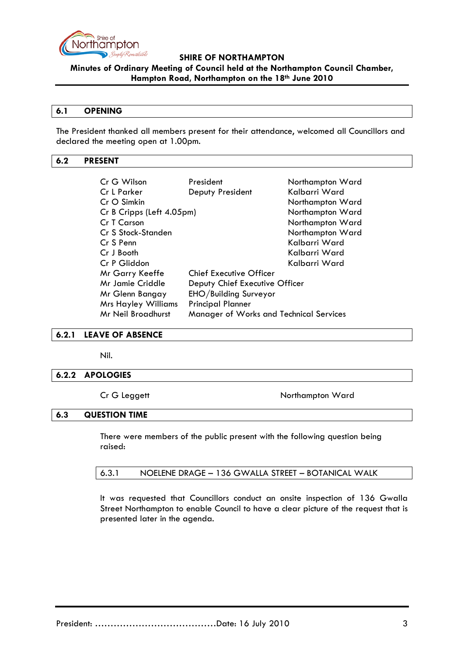

**Minutes of Ordinary Meeting of Council held at the Northampton Council Chamber, Hampton Road, Northampton on the 18th June 2010**

#### **6.1 OPENING**

The President thanked all members present for their attendance, welcomed all Councillors and declared the meeting open at 1.00pm.

### <span id="page-2-0"></span>**6.2 PRESENT**

| Cr G Wilson                | President                               | Northampton Ward |
|----------------------------|-----------------------------------------|------------------|
| <b>Cr L Parker</b>         | Deputy President                        | Kalbarri Ward    |
| $CrO$ Simkin               |                                         | Northampton Ward |
| Cr B Cripps (Left 4.05pm)  |                                         | Northampton Ward |
| Cr T Carson                |                                         | Northampton Ward |
| Cr S Stock-Standen         |                                         | Northampton Ward |
| Cr S Penn                  |                                         | Kalbarri Ward    |
| Cr J Booth                 |                                         | Kalbarri Ward    |
| Cr P Gliddon               |                                         | Kalbarri Ward    |
| Mr Garry Keeffe            | <b>Chief Executive Officer</b>          |                  |
| <b>Mr Jamie Criddle</b>    | Deputy Chief Executive Officer          |                  |
| Mr Glenn Bangay            | EHO/Building Surveyor                   |                  |
| <b>Mrs Hayley Williams</b> | <b>Principal Planner</b>                |                  |
| Mr Neil Broadhurst         | Manager of Works and Technical Services |                  |

#### <span id="page-2-1"></span>**6.2.1 LEAVE OF ABSENCE**

Nil.

### <span id="page-2-2"></span>**6.2.2 APOLOGIES**

Cr G Leggett Northampton Ward

#### <span id="page-2-3"></span>**6.3 QUESTION TIME**

There were members of the public present with the following question being raised:

It was requested that Councillors conduct an onsite inspection of 136 Gwalla Street Northampton to enable Council to have a clear picture of the request that is presented later in the agenda.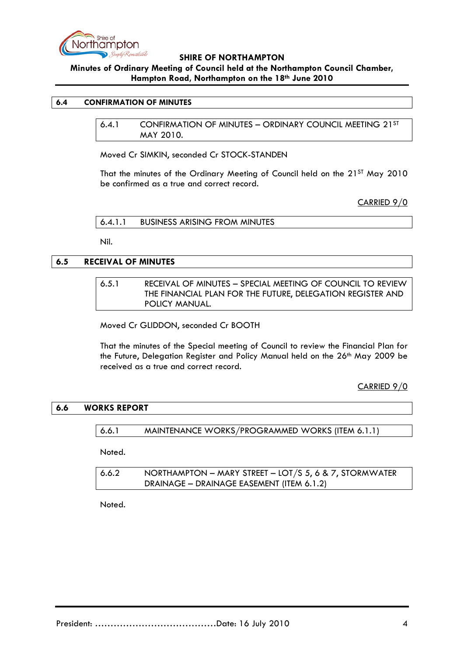

# **Minutes of Ordinary Meeting of Council held at the Northampton Council Chamber, Hampton Road, Northampton on the 18th June 2010**

## <span id="page-3-1"></span><span id="page-3-0"></span>**6.4 CONFIRMATION OF MINUTES**

6.4.1 CONFIRMATION OF MINUTES – ORDINARY COUNCIL MEETING 21ST MAY 2010.

Moved Cr SIMKIN, seconded Cr STOCK-STANDEN

That the minutes of the Ordinary Meeting of Council held on the 21ST May 2010 be confirmed as a true and correct record.

CARRIED 9/0

<span id="page-3-2"></span>

| 6.4.1.1 | <b>BUSINESS ARISING FROM MINUTES</b> |
|---------|--------------------------------------|
|---------|--------------------------------------|

Nil.

# <span id="page-3-3"></span>**6.5 RECEIVAL OF MINUTES**

## 6.5.1 RECEIVAL OF MINUTES – SPECIAL MEETING OF COUNCIL TO REVIEW THE FINANCIAL PLAN FOR THE FUTURE, DELEGATION REGISTER AND POLICY MANUAL.

Moved Cr GLIDDON, seconded Cr BOOTH

That the minutes of the Special meeting of Council to review the Financial Plan for the Future, Delegation Register and Policy Manual held on the 26<sup>th</sup> May 2009 be received as a true and correct record.

CARRIED 9/0

### **6.6 WORKS REPORT**

6.6.1 MAINTENANCE WORKS/PROGRAMMED WORKS (ITEM 6.1.1)

Noted.

| 6.6.2 | NORTHAMPTON – MARY STREET – LOT/S 5, 6 & 7, STORMWATER |
|-------|--------------------------------------------------------|
|       | DRAINAGE - DRAINAGE EASEMENT (ITEM 6.1.2)              |

Noted.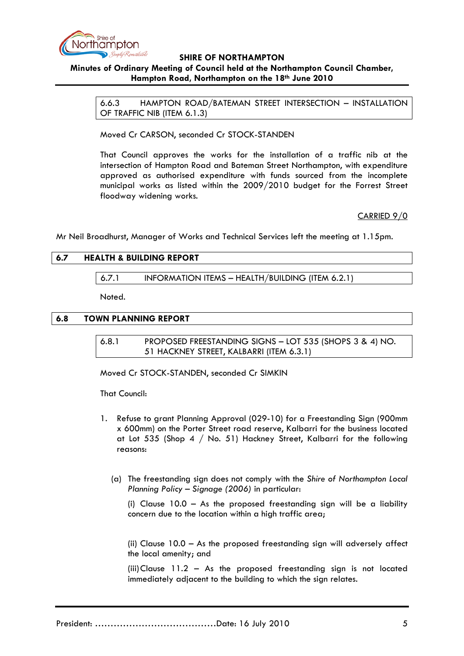

# **Minutes of Ordinary Meeting of Council held at the Northampton Council Chamber, Hampton Road, Northampton on the 18th June 2010**

6.6.3 HAMPTON ROAD/BATEMAN STREET INTERSECTION – INSTALLATION OF TRAFFIC NIB (ITEM 6.1.3)

Moved Cr CARSON, seconded Cr STOCK-STANDEN

That Council approves the works for the installation of a traffic nib at the intersection of Hampton Road and Bateman Street Northampton, with expenditure approved as authorised expenditure with funds sourced from the incomplete municipal works as listed within the 2009/2010 budget for the Forrest Street floodway widening works.

CARRIED 9/0

Mr Neil Broadhurst, Manager of Works and Technical Services left the meeting at 1.15pm.

# **6.7 HEALTH & BUILDING REPORT**

6.7.1 INFORMATION ITEMS – HEALTH/BUILDING (ITEM 6.2.1)

Noted.

## **6.8 TOWN PLANNING REPORT**

6.8.1 PROPOSED FREESTANDING SIGNS – LOT 535 (SHOPS 3 & 4) NO. 51 HACKNEY STREET, KALBARRI (ITEM 6.3.1)

Moved Cr STOCK-STANDEN, seconded Cr SIMKIN

That Council:

- 1. Refuse to grant Planning Approval (029-10) for a Freestanding Sign (900mm x 600mm) on the Porter Street road reserve, Kalbarri for the business located at Lot 535 (Shop 4 / No. 51) Hackney Street, Kalbarri for the following reasons:
	- (a) The freestanding sign does not comply with the *Shire of Northampton Local Planning Policy – Signage (2006)* in particular:

(i) Clause  $10.0 - As$  the proposed freestanding sign will be a liability concern due to the location within a high traffic area;

(ii) Clause 10.0 – As the proposed freestanding sign will adversely affect the local amenity; and

(iii)Clause 11.2 – As the proposed freestanding sign is not located immediately adjacent to the building to which the sign relates.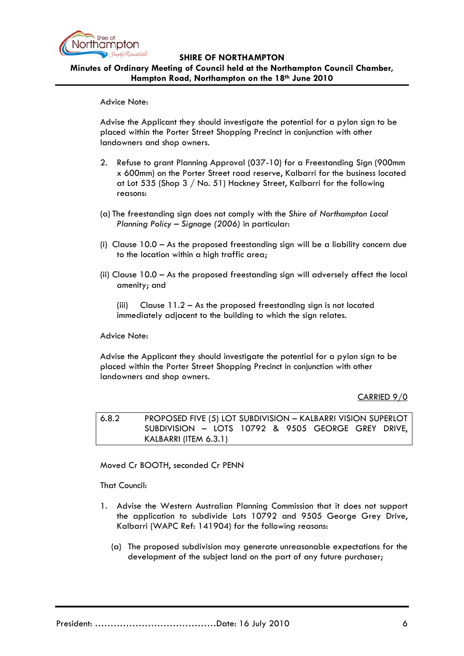

**Minutes of Ordinary Meeting of Council held at the Northampton Council Chamber, Hampton Road, Northampton on the 18th June 2010**

Advice Note:

Advise the Applicant they should investigate the potential for a pylon sign to be placed within the Porter Street Shopping Precinct in conjunction with other landowners and shop owners.

- 2. Refuse to grant Planning Approval (037-10) for a Freestanding Sign (900mm x 600mm) on the Porter Street road reserve, Kalbarri for the business located at Lot 535 (Shop 3 / No. 51) Hackney Street, Kalbarri for the following reasons:
- (a) The freestanding sign does not comply with the *Shire of Northampton Local Planning Policy – Signage (2006)* in particular:
- (i) Clause 10.0 As the proposed freestanding sign will be a liability concern due to the location within a high traffic area;
- (ii) Clause 10.0 As the proposed freestanding sign will adversely affect the local amenity; and
	- (iii) Clause  $11.2 As$  the proposed freestanding sign is not located immediately adjacent to the building to which the sign relates.

Advice Note:

Advise the Applicant they should investigate the potential for a pylon sign to be placed within the Porter Street Shopping Precinct in conjunction with other landowners and shop owners.

### CARRIED 9/0

6.8.2 PROPOSED FIVE (5) LOT SUBDIVISION – KALBARRI VISION SUPERLOT SUBDIVISION – LOTS 10792 & 9505 GEORGE GREY DRIVE, KALBARRI (ITEM 6.3.1)

Moved Cr BOOTH, seconded Cr PENN

That Council:

- 1. Advise the Western Australian Planning Commission that it does not support the application to subdivide Lots 10792 and 9505 George Grey Drive, Kalbarri (WAPC Ref: 141904) for the following reasons:
	- (a) The proposed subdivision may generate unreasonable expectations for the development of the subject land on the part of any future purchaser;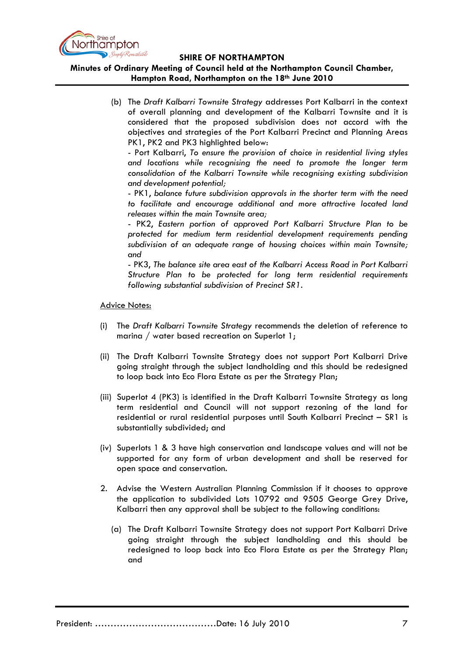

## **Minutes of Ordinary Meeting of Council held at the Northampton Council Chamber, Hampton Road, Northampton on the 18th June 2010**

(b) The *Draft Kalbarri Townsite Strategy* addresses Port Kalbarri in the context of overall planning and development of the Kalbarri Townsite and it is considered that the proposed subdivision does not accord with the objectives and strategies of the Port Kalbarri Precinct and Planning Areas PK1, PK2 and PK3 highlighted below:

- Port Kalbarri, *To ensure the provision of choice in residential living styles and locations while recognising the need to promote the longer term consolidation of the Kalbarri Townsite while recognising existing subdivision and development potential;*

- PK1, *balance future subdivision approvals in the shorter term with the need to facilitate and encourage additional and more attractive located land releases within the main Townsite area;*

- PK2, *Eastern portion of approved Port Kalbarri Structure Plan to be protected for medium term residential development requirements pending subdivision of an adequate range of housing choices within main Townsite; and*

- PK3, *The balance site area east of the Kalbarri Access Road in Port Kalbarri Structure Plan to be protected for long term residential requirements following substantial subdivision of Precinct SR1.*

Advice Notes:

- (i) The *Draft Kalbarri Townsite Strategy* recommends the deletion of reference to marina / water based recreation on Superlot 1;
- (ii) The Draft Kalbarri Townsite Strategy does not support Port Kalbarri Drive going straight through the subject landholding and this should be redesigned to loop back into Eco Flora Estate as per the Strategy Plan;
- (iii) Superlot 4 (PK3) is identified in the Draft Kalbarri Townsite Strategy as long term residential and Council will not support rezoning of the land for residential or rural residential purposes until South Kalbarri Precinct – SR1 is substantially subdivided; and
- (iv) Superlots 1 & 3 have high conservation and landscape values and will not be supported for any form of urban development and shall be reserved for open space and conservation.
- 2. Advise the Western Australian Planning Commission if it chooses to approve the application to subdivided Lots 10792 and 9505 George Grey Drive, Kalbarri then any approval shall be subject to the following conditions:
	- (a) The Draft Kalbarri Townsite Strategy does not support Port Kalbarri Drive going straight through the subject landholding and this should be redesigned to loop back into Eco Flora Estate as per the Strategy Plan; and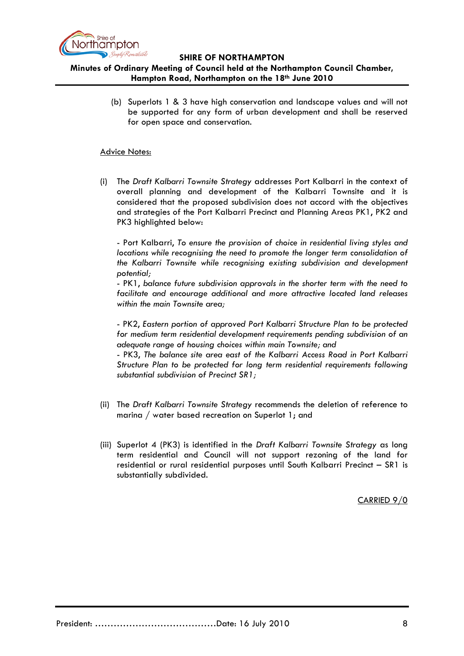

## **Minutes of Ordinary Meeting of Council held at the Northampton Council Chamber, Hampton Road, Northampton on the 18th June 2010**

(b) Superlots 1 & 3 have high conservation and landscape values and will not be supported for any form of urban development and shall be reserved for open space and conservation.

## Advice Notes:

(i) The *Draft Kalbarri Townsite Strategy* addresses Port Kalbarri in the context of overall planning and development of the Kalbarri Townsite and it is considered that the proposed subdivision does not accord with the objectives and strategies of the Port Kalbarri Precinct and Planning Areas PK1, PK2 and PK3 highlighted below:

- Port Kalbarri, *To ensure the provision of choice in residential living styles and locations while recognising the need to promote the longer term consolidation of the Kalbarri Townsite while recognising existing subdivision and development potential;*

- PK1, *balance future subdivision approvals in the shorter term with the need to facilitate and encourage additional and more attractive located land releases within the main Townsite area;*

- PK2, *Eastern portion of approved Port Kalbarri Structure Plan to be protected for medium term residential development requirements pending subdivision of an adequate range of housing choices within main Townsite; and*

- PK3, *The balance site area east of the Kalbarri Access Road in Port Kalbarri Structure Plan to be protected for long term residential requirements following substantial subdivision of Precinct SR1;*

- (ii) The *Draft Kalbarri Townsite Strategy* recommends the deletion of reference to marina / water based recreation on Superlot 1; and
- (iii) Superlot 4 (PK3) is identified in the *Draft Kalbarri Townsite Strategy* as long term residential and Council will not support rezoning of the land for residential or rural residential purposes until South Kalbarri Precinct – SR1 is substantially subdivided.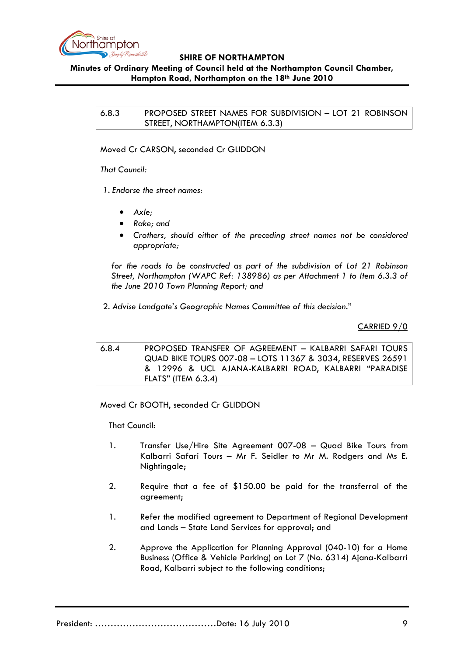

## **Minutes of Ordinary Meeting of Council held at the Northampton Council Chamber, Hampton Road, Northampton on the 18th June 2010**

6.8.3 PROPOSED STREET NAMES FOR SUBDIVISION – LOT 21 ROBINSON STREET, NORTHAMPTON(ITEM 6.3.3)

Moved Cr CARSON, seconded Cr GLIDDON

*That Council:*

*1. Endorse the street names:*

- *Axle;*
- *Rake; and*
- *Crothers, should either of the preceding street names not be considered appropriate;*

*for the roads to be constructed as part of the subdivision of Lot 21 Robinson Street, Northampton (WAPC Ref: 138986) as per Attachment 1 to Item 6.3.3 of the June 2010 Town Planning Report; and*

2. *Advise Landgate's Geographic Names Committee of this decision.*"

CARRIED 9/0

6.8.4 PROPOSED TRANSFER OF AGREEMENT – KALBARRI SAFARI TOURS QUAD BIKE TOURS 007-08 – LOTS 11367 & 3034, RESERVES 26591 & 12996 & UCL AJANA-KALBARRI ROAD, KALBARRI "PARADISE FLATS" (ITEM 6.3.4)

Moved Cr BOOTH, seconded Cr GLIDDON

That Council:

- 1. Transfer Use/Hire Site Agreement 007-08 Quad Bike Tours from Kalbarri Safari Tours – Mr F. Seidler to Mr M. Rodgers and Ms E. Nightingale;
- 2. Require that a fee of \$150.00 be paid for the transferral of the agreement;
- 1. Refer the modified agreement to Department of Regional Development and Lands – State Land Services for approval; and
- 2. Approve the Application for Planning Approval (040-10) for a Home Business (Office & Vehicle Parking) on Lot 7 (No. 6314) Ajana-Kalbarri Road, Kalbarri subject to the following conditions;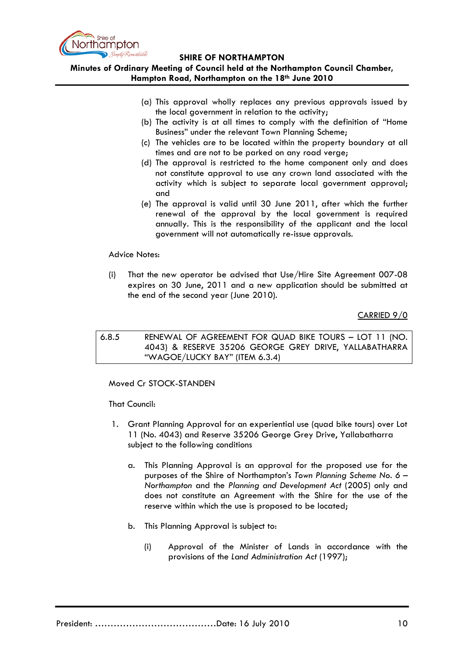

## **Minutes of Ordinary Meeting of Council held at the Northampton Council Chamber, Hampton Road, Northampton on the 18th June 2010**

- (a) This approval wholly replaces any previous approvals issued by the local government in relation to the activity;
- (b) The activity is at all times to comply with the definition of "Home Business" under the relevant Town Planning Scheme;
- (c) The vehicles are to be located within the property boundary at all times and are not to be parked on any road verge;
- (d) The approval is restricted to the home component only and does not constitute approval to use any crown land associated with the activity which is subject to separate local government approval; and
- (e) The approval is valid until 30 June 2011, after which the further renewal of the approval by the local government is required annually. This is the responsibility of the applicant and the local government will not automatically re-issue approvals.

### Advice Notes:

(i) That the new operator be advised that Use/Hire Site Agreement 007-08 expires on 30 June, 2011 and a new application should be submitted at the end of the second year (June 2010).

### CARRIED 9/0

6.8.5 RENEWAL OF AGREEMENT FOR QUAD BIKE TOURS – LOT 11 (NO. 4043) & RESERVE 35206 GEORGE GREY DRIVE, YALLABATHARRA "WAGOE/LUCKY BAY" (ITEM 6.3.4)

### Moved Cr STOCK-STANDEN

That Council:

- 1. Grant Planning Approval for an experiential use (quad bike tours) over Lot 11 (No. 4043) and Reserve 35206 George Grey Drive, Yallabatharra subject to the following conditions
	- a. This Planning Approval is an approval for the proposed use for the purposes of the Shire of Northampton's *Town Planning Scheme No. 6 – Northampton* and the *Planning and Development Act* (2005) only and does not constitute an Agreement with the Shire for the use of the reserve within which the use is proposed to be located;
	- b. This Planning Approval is subject to:
		- (i) Approval of the Minister of Lands in accordance with the provisions of the *Land Administration Act* (1997);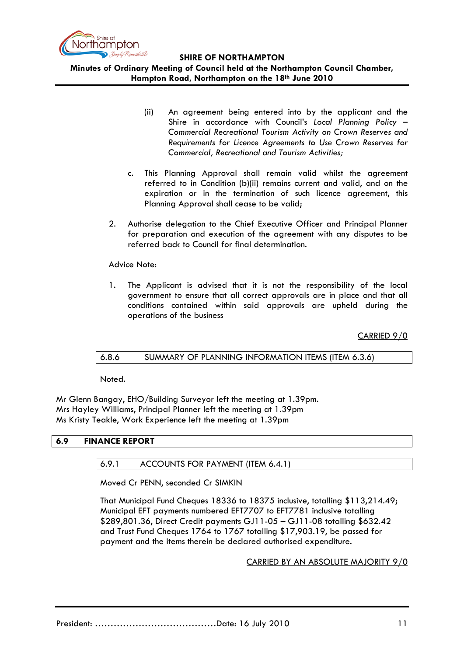

**Minutes of Ordinary Meeting of Council held at the Northampton Council Chamber, Hampton Road, Northampton on the 18th June 2010**

- (ii) An agreement being entered into by the applicant and the Shire in accordance with Council's *Local Planning Policy – Commercial Recreational Tourism Activity on Crown Reserves and Requirements for Licence Agreements to Use Crown Reserves for Commercial, Recreational and Tourism Activities;*
- c. This Planning Approval shall remain valid whilst the agreement referred to in Condition (b)(ii) remains current and valid, and on the expiration or in the termination of such licence agreement, this Planning Approval shall cease to be valid;
- 2. Authorise delegation to the Chief Executive Officer and Principal Planner for preparation and execution of the agreement with any disputes to be referred back to Council for final determination.

#### Advice Note:

1. The Applicant is advised that it is not the responsibility of the local government to ensure that all correct approvals are in place and that all conditions contained within said approvals are upheld during the operations of the business

CARRIED 9/0

### 6.8.6 SUMMARY OF PLANNING INFORMATION ITEMS (ITEM 6.3.6)

Noted.

Mr Glenn Bangay, EHO/Building Surveyor left the meeting at 1.39pm. Mrs Hayley Williams, Principal Planner left the meeting at 1.39pm Ms Kristy Teakle, Work Experience left the meeting at 1.39pm

### **6.9 FINANCE REPORT**

## 6.9.1 ACCOUNTS FOR PAYMENT (ITEM 6.4.1)

Moved Cr PENN, seconded Cr SIMKIN

That Municipal Fund Cheques 18336 to 18375 inclusive, totalling \$113,214.49; Municipal EFT payments numbered EFT7707 to EFT7781 inclusive totalling \$289,801.36, Direct Credit payments GJ11-05 – GJ11-08 totalling \$632.42 and Trust Fund Cheques 1764 to 1767 totalling \$17,903.19, be passed for payment and the items therein be declared authorised expenditure.

CARRIED BY AN ABSOLUTE MAJORITY 9/0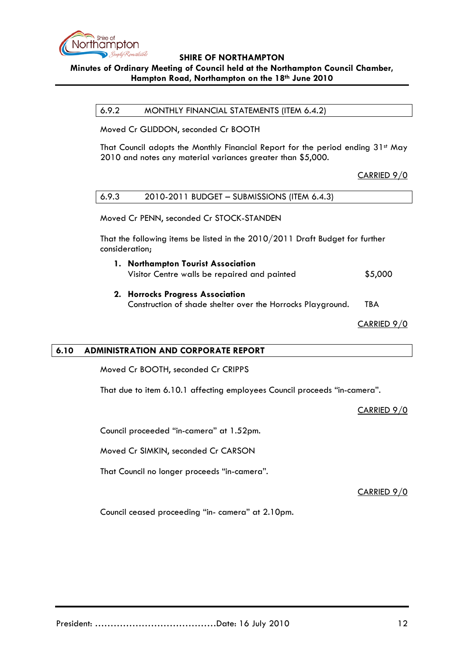

# **Minutes of Ordinary Meeting of Council held at the Northampton Council Chamber, Hampton Road, Northampton on the 18th June 2010**

6.9.2 MONTHLY FINANCIAL STATEMENTS (ITEM 6.4.2)

Moved Cr GLIDDON, seconded Cr BOOTH

That Council adopts the Monthly Financial Report for the period ending 31st May 2010 and notes any material variances greater than \$5,000.

CARRIED 9/0

| 6.9.3 | 2010-2011 BUDGET - SUBMISSIONS (ITEM 6.4.3) |
|-------|---------------------------------------------|
|       |                                             |

Moved Cr PENN, seconded Cr STOCK-STANDEN

That the following items be listed in the 2010/2011 Draft Budget for further consideration;

- **1. Northampton Tourist Association** Visitor Centre walls be repaired and painted  $$5,000$
- **2. Horrocks Progress Association** Construction of shade shelter over the Horrocks Playground. TBA

CARRIED 9/0

## **6.10 ADMINISTRATION AND CORPORATE REPORT**

Moved Cr BOOTH, seconded Cr CRIPPS

That due to item 6.10.1 affecting employees Council proceeds "in-camera".

CARRIED 9/0

Council proceeded "in-camera" at 1.52pm.

Moved Cr SIMKIN, seconded Cr CARSON

That Council no longer proceeds "in-camera".

CARRIED 9/0

Council ceased proceeding "in- camera" at 2.10pm.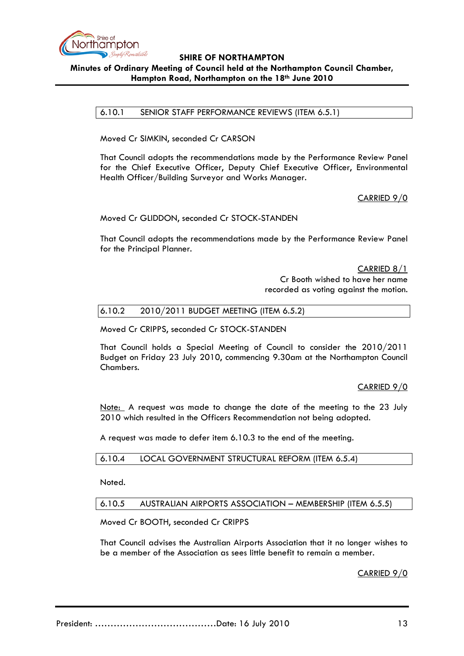

## **SHIRE OF NORTHAMPTON Minutes of Ordinary Meeting of Council held at the Northampton Council Chamber, Hampton Road, Northampton on the 18th June 2010**

6.10.1 SENIOR STAFF PERFORMANCE REVIEWS (ITEM 6.5.1)

Moved Cr SIMKIN, seconded Cr CARSON

That Council adopts the recommendations made by the Performance Review Panel for the Chief Executive Officer, Deputy Chief Executive Officer, Environmental Health Officer/Building Surveyor and Works Manager.

CARRIED 9/0

Moved Cr GLIDDON, seconded Cr STOCK-STANDEN

That Council adopts the recommendations made by the Performance Review Panel for the Principal Planner.

> CARRIED 8/1 Cr Booth wished to have her name recorded as voting against the motion.

### 6.10.2 2010/2011 BUDGET MEETING (ITEM 6.5.2)

Moved Cr CRIPPS, seconded Cr STOCK-STANDEN

That Council holds a Special Meeting of Council to consider the 2010/2011 Budget on Friday 23 July 2010, commencing 9.30am at the Northampton Council Chambers.

CARRIED 9/0

Note: A request was made to change the date of the meeting to the 23 July 2010 which resulted in the Officers Recommendation not being adopted.

A request was made to defer item 6.10.3 to the end of the meeting.

6.10.4 LOCAL GOVERNMENT STRUCTURAL REFORM (ITEM 6.5.4)

Noted.

6.10.5 AUSTRALIAN AIRPORTS ASSOCIATION – MEMBERSHIP (ITEM 6.5.5)

Moved Cr BOOTH, seconded Cr CRIPPS

That Council advises the Australian Airports Association that it no longer wishes to be a member of the Association as sees little benefit to remain a member.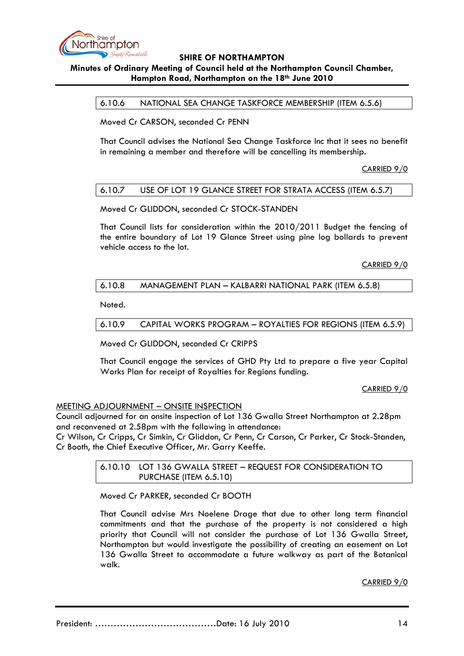

# **Minutes of Ordinary Meeting of Council held at the Northampton Council Chamber, Hampton Road, Northampton on the 18th June 2010**

6.10.6 NATIONAL SEA CHANGE TASKFORCE MEMBERSHIP (ITEM 6.5.6)

Moved Cr CARSON, seconded Cr PENN

That Council advises the National Sea Change Taskforce Inc that it sees no benefit in remaining a member and therefore will be cancelling its membership.

CARRIED 9/0

## 6.10.7 USE OF LOT 19 GLANCE STREET FOR STRATA ACCESS (ITEM 6.5.7)

Moved Cr GLIDDON, seconded Cr STOCK-STANDEN

That Council lists for consideration within the 2010/2011 Budget the fencing of the entire boundary of Lot 19 Glance Street using pine log bollards to prevent vehicle access to the lot.

CARRIED 9/0

### 6.10.8 MANAGEMENT PLAN – KALBARRI NATIONAL PARK (ITEM 6.5.8)

Noted.

6.10.9 CAPITAL WORKS PROGRAM – ROYALTIES FOR REGIONS (ITEM 6.5.9)

Moved Cr GLIDDON, seconded Cr CRIPPS

That Council engage the services of GHD Pty Ltd to prepare a five year Capital Works Plan for receipt of Royalties for Regions funding.

CARRIED 9/0

### MEETING ADJOURNMENT – ONSITE INSPECTION

Council adjourned for an onsite inspection of Lot 136 Gwalla Street Northampton at 2.28pm and reconvened at 2.58pm with the following in attendance:

Cr Wilson, Cr Cripps, Cr Simkin, Cr Gliddon, Cr Penn, Cr Carson, Cr Parker, Cr Stock-Standen, Cr Booth, the Chief Executive Officer, Mr. Garry Keeffe.

> 6.10.10 LOT 136 GWALLA STREET – REQUEST FOR CONSIDERATION TO PURCHASE (ITEM 6.5.10)

Moved Cr PARKER, seconded Cr BOOTH

That Council advise Mrs Noelene Drage that due to other long term financial commitments and that the purchase of the property is not considered a high priority that Council will not consider the purchase of Lot 136 Gwalla Street, Northampton but would investigate the possibility of creating an easement on Lot 136 Gwalla Street to accommodate a future walkway as part of the Botanical walk.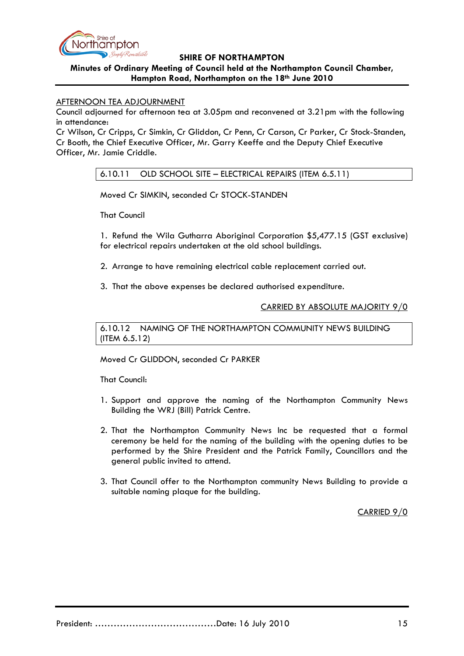

## **Minutes of Ordinary Meeting of Council held at the Northampton Council Chamber, Hampton Road, Northampton on the 18th June 2010**

## AFTERNOON TEA ADJOURNMENT

Council adjourned for afternoon tea at 3.05pm and reconvened at 3.21pm with the following in attendance:

Cr Wilson, Cr Cripps, Cr Simkin, Cr Gliddon, Cr Penn, Cr Carson, Cr Parker, Cr Stock-Standen, Cr Booth, the Chief Executive Officer, Mr. Garry Keeffe and the Deputy Chief Executive Officer, Mr. Jamie Criddle.

6.10.11 OLD SCHOOL SITE – ELECTRICAL REPAIRS (ITEM 6.5.11)

Moved Cr SIMKIN, seconded Cr STOCK-STANDEN

That Council

1. Refund the Wila Gutharra Aboriginal Corporation \$5,477.15 (GST exclusive) for electrical repairs undertaken at the old school buildings.

- 2. Arrange to have remaining electrical cable replacement carried out.
- 3. That the above expenses be declared authorised expenditure.

CARRIED BY ABSOLUTE MAJORITY 9/0

6.10.12 NAMING OF THE NORTHAMPTON COMMUNITY NEWS BUILDING (ITEM 6.5.12)

Moved Cr GLIDDON, seconded Cr PARKER

That Council:

- 1. Support and approve the naming of the Northampton Community News Building the WRJ (Bill) Patrick Centre.
- 2. That the Northampton Community News Inc be requested that a formal ceremony be held for the naming of the building with the opening duties to be performed by the Shire President and the Patrick Family, Councillors and the general public invited to attend.
- 3. That Council offer to the Northampton community News Building to provide a suitable naming plaque for the building.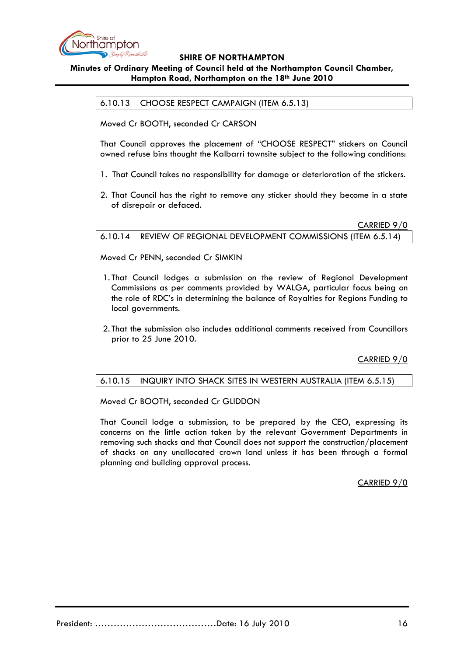

## **Minutes of Ordinary Meeting of Council held at the Northampton Council Chamber, Hampton Road, Northampton on the 18th June 2010**

6.10.13 CHOOSE RESPECT CAMPAIGN (ITEM 6.5.13)

Moved Cr BOOTH, seconded Cr CARSON

That Council approves the placement of "CHOOSE RESPECT" stickers on Council owned refuse bins thought the Kalbarri townsite subject to the following conditions:

- 1. That Council takes no responsibility for damage or deterioration of the stickers.
- 2. That Council has the right to remove any sticker should they become in a state of disrepair or defaced.

CARRIED 9/0 6.10.14 REVIEW OF REGIONAL DEVELOPMENT COMMISSIONS (ITEM 6.5.14)

### Moved Cr PENN, seconded Cr SIMKIN

- 1. That Council lodges a submission on the review of Regional Development Commissions as per comments provided by WALGA, particular focus being on the role of RDC's in determining the balance of Royalties for Regions Funding to local governments.
- 2. That the submission also includes additional comments received from Councillors prior to 25 June 2010.

CARRIED 9/0

### 6.10.15 INQUIRY INTO SHACK SITES IN WESTERN AUSTRALIA (ITEM 6.5.15)

Moved Cr BOOTH, seconded Cr GLIDDON

That Council lodge a submission, to be prepared by the CEO, expressing its concerns on the little action taken by the relevant Government Departments in removing such shacks and that Council does not support the construction/placement of shacks on any unallocated crown land unless it has been through a formal planning and building approval process.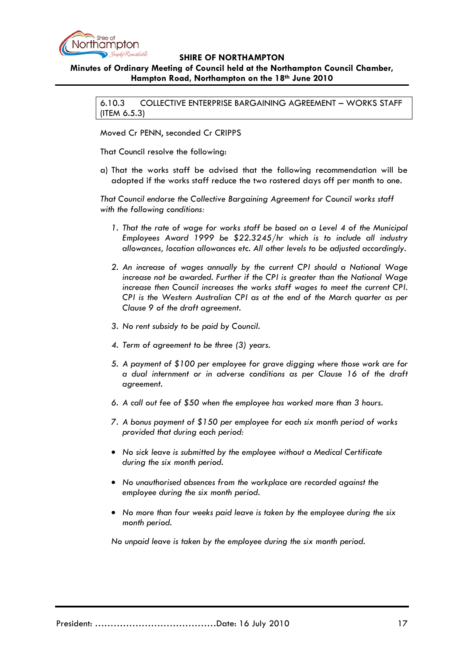

# **Minutes of Ordinary Meeting of Council held at the Northampton Council Chamber, Hampton Road, Northampton on the 18th June 2010**

6.10.3 COLLECTIVE ENTERPRISE BARGAINING AGREEMENT – WORKS STAFF (ITEM 6.5.3)

Moved Cr PENN, seconded Cr CRIPPS

That Council resolve the following:

a) That the works staff be advised that the following recommendation will be adopted if the works staff reduce the two rostered days off per month to one.

*That Council endorse the Collective Bargaining Agreement for Council works staff with the following conditions:*

- *1. That the rate of wage for works staff be based on a Level 4 of the Municipal Employees Award 1999 be \$22.3245/hr which is to include all industry allowances, location allowances etc. All other levels to be adjusted accordingly.*
- *2. An increase of wages annually by the current CPI should a National Wage increase not be awarded. Further if the CPI is greater than the National Wage increase then Council increases the works staff wages to meet the current CPI. CPI is the Western Australian CPI as at the end of the March quarter as per Clause 9 of the draft agreement.*
- *3. No rent subsidy to be paid by Council.*
- *4. Term of agreement to be three (3) years.*
- *5. A payment of \$100 per employee for grave digging where those work are for a dual internment or in adverse conditions as per Clause 16 of the draft agreement.*
- *6. A call out fee of \$50 when the employee has worked more than 3 hours.*
- *7. A bonus payment of \$150 per employee for each six month period of works provided that during each period:*
- *No sick leave is submitted by the employee without a Medical Certificate during the six month period.*
- *No unauthorised absences from the workplace are recorded against the employee during the six month period.*
- *No more than four weeks paid leave is taken by the employee during the six month period.*

*No unpaid leave is taken by the employee during the six month period.*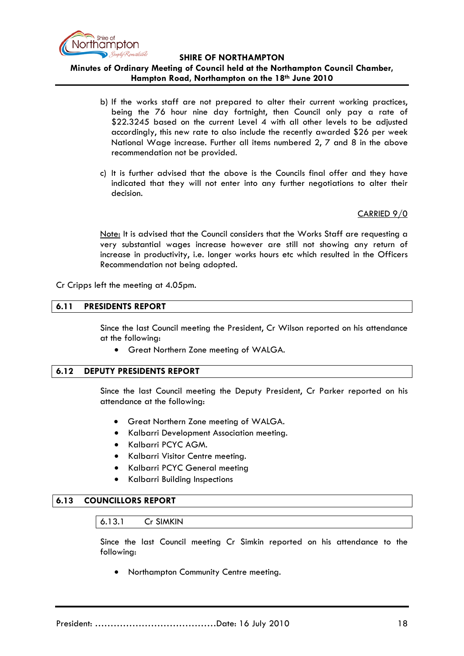

## **Minutes of Ordinary Meeting of Council held at the Northampton Council Chamber, Hampton Road, Northampton on the 18th June 2010**

- b) If the works staff are not prepared to alter their current working practices, being the 76 hour nine day fortnight, then Council only pay a rate of \$22.3245 based on the current Level 4 with all other levels to be adjusted accordingly, this new rate to also include the recently awarded \$26 per week National Wage increase. Further all items numbered 2, 7 and 8 in the above recommendation not be provided.
- c) It is further advised that the above is the Councils final offer and they have indicated that they will not enter into any further negotiations to alter their decision.

CARRIED 9/0

Note: It is advised that the Council considers that the Works Staff are requesting a very substantial wages increase however are still not showing any return of increase in productivity, i.e. longer works hours etc which resulted in the Officers Recommendation not being adopted.

Cr Cripps left the meeting at 4.05pm.

#### **6.11 PRESIDENTS REPORT**

Since the last Council meeting the President, Cr Wilson reported on his attendance at the following:

• Great Northern Zone meeting of WALGA.

#### **6.12 DEPUTY PRESIDENTS REPORT**

Since the last Council meeting the Deputy President, Cr Parker reported on his attendance at the following:

- Great Northern Zone meeting of WALGA.
- Kalbarri Development Association meeting.
- Kalbarri PCYC AGM.
- Kalbarri Visitor Centre meeting.
- Kalbarri PCYC General meeting
- Kalbarri Building Inspections

## **6.13 COUNCILLORS REPORT**

#### 6.13.1 Cr SIMKIN

Since the last Council meeting Cr Simkin reported on his attendance to the following:

• Northampton Community Centre meeting.